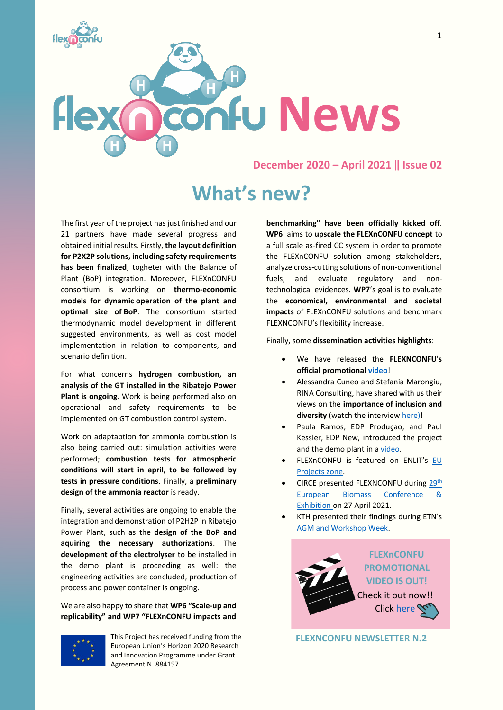

#### **December 2020 – April 2021 ‖ Issue 02**

# **What's new?**

The first year of the project has just finished and our 21 partners have made several progress and obtained initial results. Firstly, **the layout definition for P2X2P solutions, including safety requirements has been finalized**, togheter with the Balance of Plant (BoP) integration. Moreover, FLEXnCONFU consortium is working on **thermo-economic models for dynamic operation of the plant and optimal size of BoP**. The consortium started thermodynamic model development in different suggested environments, as well as cost model implementation in relation to components, and scenario definition.

For what concerns **hydrogen combustion, an analysis of the GT installed in the Ribatejo Power Plant is ongoing**. Work is being performed also on operational and safety requirements to be implemented on GT combustion control system.

Work on adaptaption for ammonia combustion is also being carried out: simulation activities were performed; **combustion tests for atmospheric conditions will start in april, to be followed by tests in pressure conditions**. Finally, a **preliminary design of the ammonia reactor** is ready.

Finally, several activities are ongoing to enable the integration and demonstration of P2H2P in Ribatejo Power Plant, such as the **design of the BoP and aquiring the necessary authorizations**. The **development of the electrolyser** to be installed in the demo plant is proceeding as well: the engineering activities are concluded, production of process and power container is ongoing.

We are also happy to share that **WP6 "Scale-up and replicability" and WP7 "FLEXnCONFU impacts and** 

**benchmarking" have been officially kicked off**. **WP6** aims to **upscale the FLEXnCONFU concept** to a full scale as-fired CC system in order to promote the FLEXnCONFU solution among stakeholders, analyze cross-cutting solutions of non-conventional fuels, and evaluate regulatory and nontechnological evidences. **WP7**'s goal is to evaluate the **economical, environmental and societal impacts** of FLEXnCONFU solutions and benchmark FLEXNCONFU's flexibility increase.

Finally, some **dissemination activities highlights**:

- We have released the **FLEXNCONFU's official promotional [video](https://www.youtube.com/watch?v=_al3Wrhf9ik)**!
- Alessandra Cuneo and Stefania Marongiu, RINA Consulting, have shared with us their views on the **importance of inclusion and diversity** (watch the interview [here\)](https://www.youtube.com/watch?v=ywV5E-lkEi0)!
- Paula Ramos, EDP Produçao, and Paul Kessler, EDP New, introduced the project and the demo plant in [a video.](https://twitter.com/innovationatEDP/status/1349051691698679821)
- FLEXnCONFU is featured on ENLIT's [EU](https://www.enlit-europe.com/learn/eu-projects-zone)  [Projects zone.](https://www.enlit-europe.com/learn/eu-projects-zone)
- CIRCE presented FLEXNCONFU durin[g 29](https://www.eubce.com/)th [European Biomass Conference &](https://www.eubce.com/)  [Exhibition](https://www.eubce.com/) on 27 April 2021.
- KTH presented their findings during ETN's [AGM and Workshop Week.](https://etn.global/events/virtual-agm-workshop-week-21/)



**FLEXNCONFU NEWSLETTER N.2**



This Project has received funding from the European Union's Horizon 2020 Research and Innovation Programme under Grant Agreement N. 884157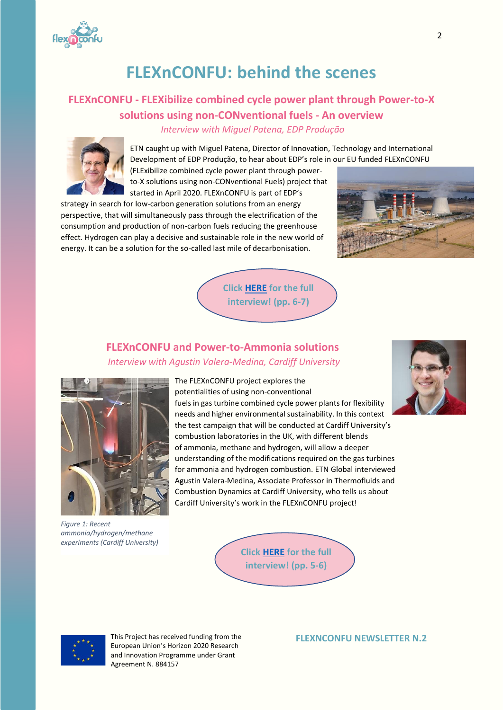

# **FLEXnCONFU: behind the scenes**

## **FLEXnCONFU - FLEXibilize combined cycle power plant through Power-to-X solutions using non-CONventional fuels - An overview** *Interview with Miguel Patena, EDP Produção*



ETN caught up with Miguel Patena, Director of Innovation, Technology and International Development of EDP Produção, to hear about EDP's role in our EU funded FLEXnCONFU

(FLExibilize combined cycle power plant through powerto-X solutions using non-CONventional Fuels) project that started in April 2020. FLEXnCONFU is part of EDP's

strategy in search for low-carbon generation solutions from an energy perspective, that will simultaneously pass through the electrification of the consumption and production of non-carbon fuels reducing the greenhouse effect. Hydrogen can play a decisive and sustainable role in the new world of energy. It can be a solution for the so-called last mile of decarbonisation.



**Click [HERE](https://etn.global/wp-content/uploads/2020/10/ETN-NEWSLETTER-2020-04.pdf) [for the full](https://etn.global/wp-content/uploads/2020/10/ETN-NEWSLETTER-2020-04.pdf)  interview! (pp. 6-7)**

### **FLEXnCONFU and Power-to-Ammonia solutions** *Interview with Agustin Valera-Medina, Cardiff University*



*Figure 1: Recent ammonia/hydrogen/methane experiments (Cardiff University)*

The FLEXnCONFU project explores the potentialities of using non-conventional fuels in gas turbine combined cycle power plants for flexibility needs and higher environmental sustainability. In this context the test campaign that will be conducted at Cardiff University's combustion laboratories in the UK, with different blends of ammonia, methane and hydrogen, will allow a deeper understanding of the modifications required on the gas turbines for ammonia and hydrogen combustion. ETN Global interviewed Agustin Valera-Medina, Associate Professor in Thermofluids and Combustion Dynamics at Cardiff University, who tells us about Cardiff University's work in the FLEXnCONFU project!







This Project has received funding from the European Union's Horizon 2020 Research and Innovation Programme under Grant Agreement N. 884157

#### **FLEXNCONFU NEWSLETTER N.2**